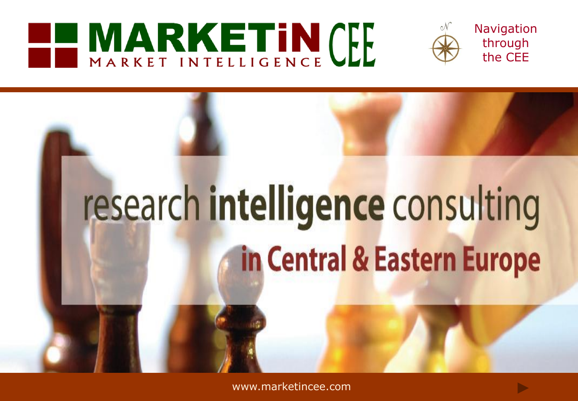## **EL MARKETIN CEL**



**Navigation** through the CEE

# research intelligence consulting in Central & Eastern Europe

[www.marketincee.com](http://www.marketincee.com/)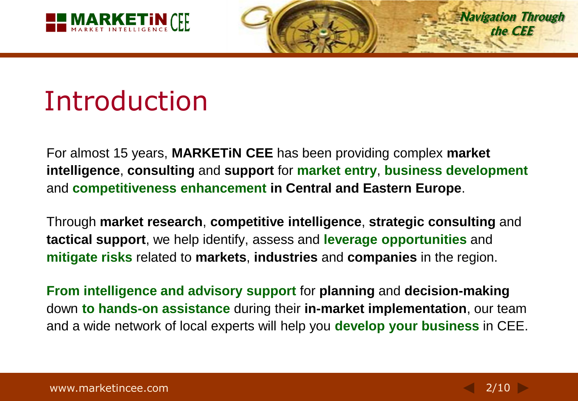

**Navigation Through the CEE**

## Introduction

For almost 15 years, **MARKETiN CEE** has been providing complex **market intelligence**, **consulting** and **support** for **market entry**, **business development** and **competitiveness enhancement in Central and Eastern Europe**.

Through **market research**, **competitive intelligence**, **strategic consulting** and **tactical support**, we help identify, assess and **leverage opportunities** and **mitigate risks** related to **markets**, **industries** and **companies** in the region.

**From intelligence and advisory support** for **planning** and **decision-making** down **to hands-on assistance** during their **in-market implementation**, our team and a wide network of local experts will help you **develop your business** in CEE.

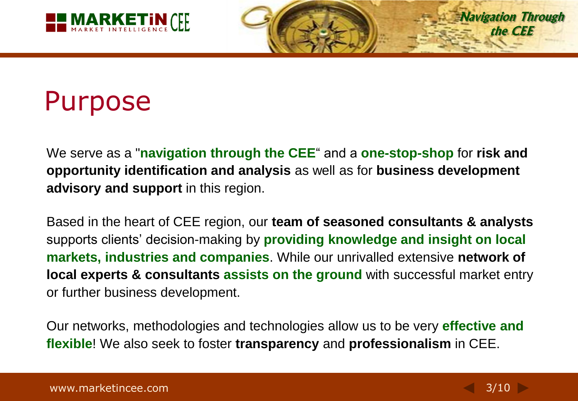

## Purpose

We serve as a "**navigation through the CEE**" and a **one-stop-shop** for **risk and opportunity identification and analysis** as well as for **business development advisory and support** in this region.

Based in the heart of CEE region, our **team of seasoned consultants & analysts** supports clients' decision-making by **providing knowledge and insight on local markets, industries and companies**. While our unrivalled extensive **network of local experts & consultants assists on the ground** with successful market entry or further business development.

Our networks, methodologies and technologies allow us to be very **effective and flexible**! We also seek to foster **transparency** and **professionalism** in CEE.

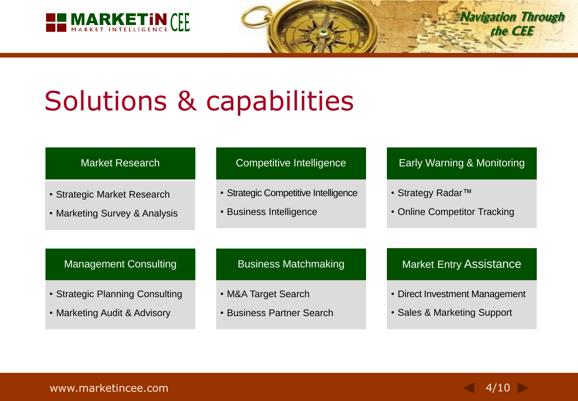

## Solutions & capabilities

#### Market Research

- Strategic Market Research
- Marketing Survey & Analysis

#### Competitive Intelligence

- Strategic Competitive Intelligence
- Business Intelligence

#### Early Warning & Monitoring

**Navigation Through the CEE**

- Strategy Radar*™*
- Online Competitor Tracking

#### Management Consulting

- Strategic Planning Consulting
- Marketing Audit & Advisory

#### Business Matchmaking

- M&A Target Search
- Business Partner Search

#### Market Entry Assistance

- Direct Investment Management
- Sales & Marketing Support

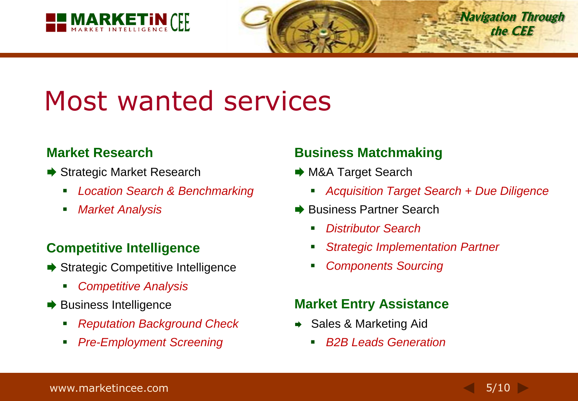

## Most wanted services

#### **Market Research**

- **→ Strategic Market Research** 
	- *Location Search & Benchmarking*
	- *Market Analysis*

#### **Competitive Intelligence**

- **→ Strategic Competitive Intelligence** 
	- *Competitive Analysis*
- $\rightarrow$  Business Intelligence
	- *Reputation Background Check*
	- *Pre-Employment Screening*

#### **Business Matchmaking**

- **→ M&A Target Search** 
	- *Acquisition Target Search + Due Diligence*
- **→ Business Partner Search** 
	- *Distributor Search*
	- *Strategic Implementation Partner*
	- *Components Sourcing*

#### **Market Entry Assistance**

- **→ Sales & Marketing Aid** 
	- *B2B Leads Generation*

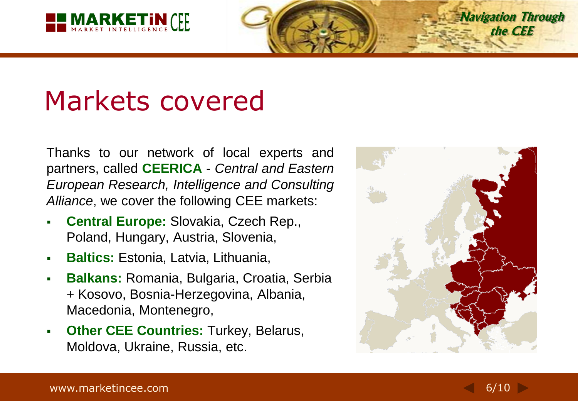

## Markets covered

Thanks to our network of local experts and partners, called **CEERICA** - *Central and Eastern European Research, Intelligence and Consulting Alliance*, we cover the following CEE markets:

- **Central Europe:** Slovakia, Czech Rep., Poland, Hungary, Austria, Slovenia,
- **Baltics:** Estonia, Latvia, Lithuania,
- **Balkans:** Romania, Bulgaria, Croatia, Serbia + Kosovo, Bosnia-Herzegovina, Albania, Macedonia, Montenegro,
- **Other CEE Countries:** Turkey, Belarus, Moldova, Ukraine, Russia, etc.



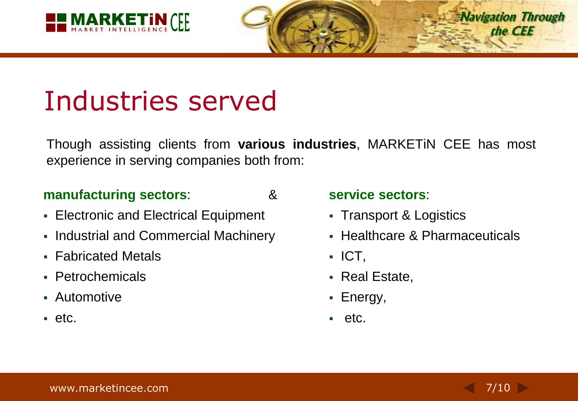

## Industries served

Though assisting clients from **various industries**, MARKETiN CEE has most experience in serving companies both from:

#### **manufacturing sectors**: &

- **Electronic and Electrical Equipment**
- Industrial and Commercial Machinery
- **Fabricated Metals**
- Petrochemicals
- Automotive
- $e$ tc.

#### **service sectors**:

- Transport & Logistics
- Healthcare & Pharmaceuticals
- $\blacksquare$  ICT,
- Real Estate,
- Energy,
- $e$ tc.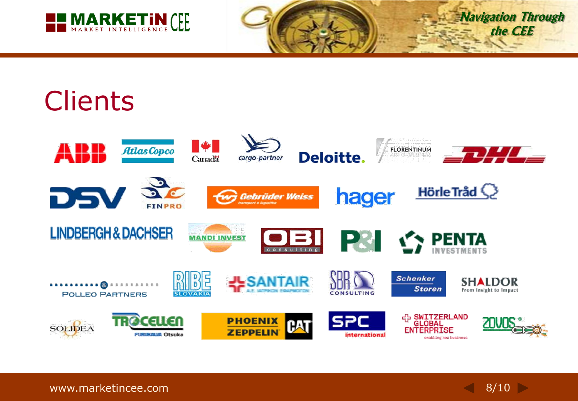

**Navigation Through the CEE**

## **Clients**



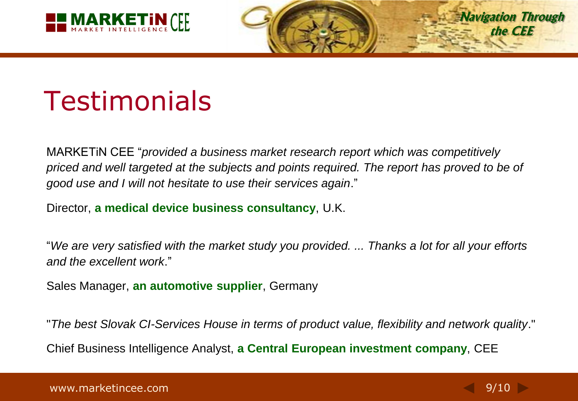



## Testimonials

MARKETiN CEE "*provided a business market research report which was competitively priced and well targeted at the subjects and points required. The report has proved to be of good use and I will not hesitate to use their services again*."

Director, **a medical device business consultancy**, U.K.

"*We are very satisfied with the market study you provided. ... Thanks a lot for all your efforts and the excellent work*."

Sales Manager, **an automotive supplier**, Germany

"*The best Slovak CI-Services House in terms of product value, flexibility and network quality*." Chief Business Intelligence Analyst, **a Central European investment company**, CEE